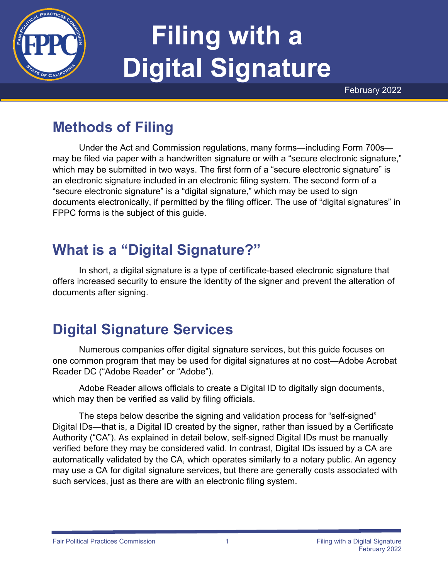

# **Filing with a Digital Signature**

February 2022

# **Methods of Filing**

Under the Act and Commission regulations, many forms—including Form 700s may be filed via paper with a handwritten signature or with a "secure electronic signature," which may be submitted in two ways. The first form of a "secure electronic signature" is an electronic signature included in an electronic filing system. The second form of a "secure electronic signature" is a "digital signature," which may be used to sign documents electronically, if permitted by the filing officer. The use of "digital signatures" in FPPC forms is the subject of this guide.

# **What is a "Digital Signature?"**

In short, a digital signature is a type of certificate-based electronic signature that offers increased security to ensure the identity of the signer and prevent the alteration of documents after signing.

### **Digital Signature Services**

Numerous companies offer digital signature services, but this guide focuses on one common program that may be used for digital signatures at no cost—Adobe Acrobat Reader DC ("Adobe Reader" or "Adobe").

Adobe Reader allows officials to create a Digital ID to digitally sign documents, which may then be verified as valid by filing officials.

The steps below describe the signing and validation process for "self-signed" Digital IDs—that is, a Digital ID created by the signer, rather than issued by a Certificate Authority ("CA"). As explained in detail below, self-signed Digital IDs must be manually verified before they may be considered valid. In contrast, Digital IDs issued by a CA are automatically validated by the CA, which operates similarly to a notary public. An agency may use a CA for digital signature services, but there are generally costs associated with such services, just as there are with an electronic filing system.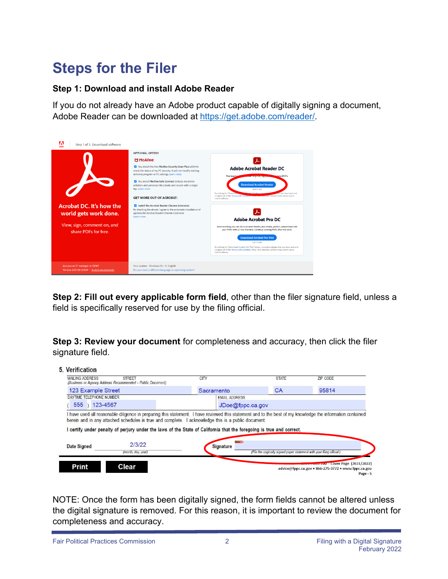### **Steps for the Filer**

#### **Step 1: Download and install Adobe Reader**

If you do not already have an Adobe product capable of digitally signing a document, Adobe Reader can be downloaded at <https://get.adobe.com/reader/>.

| Step 1 of 3: Download software                                                |                                                                                                                                                                                                                                                                                                                                                                                                                                                                                                                                                                                                |                                                                                                                                                                                                                                                                                                                                                                                                                                                                   |
|-------------------------------------------------------------------------------|------------------------------------------------------------------------------------------------------------------------------------------------------------------------------------------------------------------------------------------------------------------------------------------------------------------------------------------------------------------------------------------------------------------------------------------------------------------------------------------------------------------------------------------------------------------------------------------------|-------------------------------------------------------------------------------------------------------------------------------------------------------------------------------------------------------------------------------------------------------------------------------------------------------------------------------------------------------------------------------------------------------------------------------------------------------------------|
| Acrobat DC. It's how the<br>world gets work done.                             | <b>OPTIONAL OFFERS</b><br>McAfee <sup>®</sup><br>√ Yes, install the free McAfee Security Scan Plus utility to<br>check the status of my PC security. It will not modify existing<br>antivirus program or PC settings. Learn more<br>√ Yes, install McAfee Safe Connect to keep my online<br>activities and personal info private and secure with a single<br>tao. Learn more<br><b>GET MORE OUT OF ACROBAT:</b><br>Install the Acrobat Reader Chrome Extension<br>By checking the above, I agree to the automatic installation of<br>updates for Acrobat Reader Chrome Extension<br>Learn more | <b>Adobe Acrobat Reader DC</b><br>The leading<br>state PDFs.<br><b>WASHINGTON OF THE ASSAULT</b><br><b>Download Acrobat Reader</b><br>303.15 MB<br>By clicking the 'Downloa<br><b><i>Charlenge and</i></b><br>nat you have read and<br>accepted all of the Terms and Conditions, right, was authorities software must allow you to<br>install software                                                                                                            |
| View, sign, comment on, and<br>share PDFs for free.                           |                                                                                                                                                                                                                                                                                                                                                                                                                                                                                                                                                                                                | <b>Adobe Acrobat Pro DC</b><br>Do everything you can do in Acrobat Reader, plus create, protect, convert and edit<br>your PDFs with a 7-day free trial. Continue viewing PDFs after trial ends.<br><b>Download Acrobat Pro Trial</b><br>92115 MB<br>By clicking the "Download Acrobat Pro Trial" button, you acknowledge that you have read and<br>accepted all of the Terms and Conditions. Note: Your antivirus software must allow you to<br>install software. |
| Are you an IT manager or OEM?<br>Version 2021.011.20039 · System requirements | Your system: Windows 10 - 11, English<br>Do you have a different language or operating system?                                                                                                                                                                                                                                                                                                                                                                                                                                                                                                 |                                                                                                                                                                                                                                                                                                                                                                                                                                                                   |

**Step 2: Fill out every applicable form field**, other than the filer signature field, unless a field is specifically reserved for use by the filing official.

**Step 3: Review your document** for completeness and accuracy, then click the filer signature field.

| 5. Verification<br>MAILING ADDRESS<br><b>STREET</b><br>(Business or Agency Address Recommended - Public Document) |                    | <b>CITY</b>                                                                                                                                                                                                                                                                                                                                                                               | <b>STATE</b>                                                            | <b>ZIP CODE</b> |
|-------------------------------------------------------------------------------------------------------------------|--------------------|-------------------------------------------------------------------------------------------------------------------------------------------------------------------------------------------------------------------------------------------------------------------------------------------------------------------------------------------------------------------------------------------|-------------------------------------------------------------------------|-----------------|
| 123 Example Street                                                                                                |                    | Sacramento                                                                                                                                                                                                                                                                                                                                                                                | CA                                                                      | 95814           |
| DAYTIME TELEPHONE NUMBER                                                                                          |                    | <b>EMAIL ADDRESS</b>                                                                                                                                                                                                                                                                                                                                                                      |                                                                         |                 |
| 555<br>$123 - 4567$                                                                                               |                    | JDoe@fppc.ca.gov                                                                                                                                                                                                                                                                                                                                                                          |                                                                         |                 |
|                                                                                                                   |                    | I have used all reasonable diligence in preparing this statement. I have reviewed this statement and to the best of my knowledge the information contained<br>herein and in any attached schedules is true and complete. I acknowledge this is a public document.<br>I certify under penalty of perjury under the laws of the State of California that the foregoing is true and correct. |                                                                         |                 |
|                                                                                                                   | 2/3/22             |                                                                                                                                                                                                                                                                                                                                                                                           |                                                                         |                 |
| Date Signed                                                                                                       | (month, day, year) | Signature                                                                                                                                                                                                                                                                                                                                                                                 | (File the originally signed paper statement with your filing official.) |                 |

NOTE: Once the form has been digitally signed, the form fields cannot be altered unless the digital signature is removed. For this reason, it is important to review the document for completeness and accuracy.

Fair Political Practices Commission **2** 2 **Filing with a Digital Signature Filing with a Digital Signature**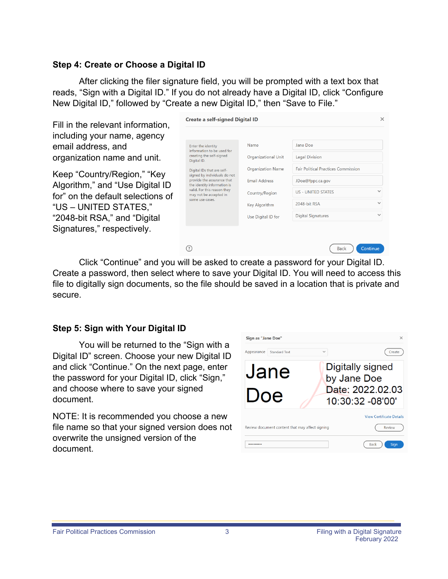#### **Step 4: Create or Choose a Digital ID**

After clicking the filer signature field, you will be prompted with a text box that reads, "Sign with a Digital ID." If you do not already have a Digital ID, click "Configure New Digital ID," followed by "Create a new Digital ID," then "Save to File."

Cre

 $\odot$ 

Fill in the relevant information, including your name, agency email address, and organization name and unit.

Keep "Country/Region," "Key Algorithm," and "Use Digital ID for" on the default selections of "US – UNITED STATES," "2048-bit RSA," and "Digital Signatures," respectively.

| reate a self-signed Digital ID:                                                           |                            |                                            | $\times$     |
|-------------------------------------------------------------------------------------------|----------------------------|--------------------------------------------|--------------|
|                                                                                           |                            |                                            |              |
| Enter the identity<br>information to be used for                                          | Name                       | Jane Doe                                   |              |
| creating the self-signed<br>Digital ID.                                                   | <b>Organizational Unit</b> | <b>Legal Division</b>                      |              |
| Digital IDs that are self-                                                                | <b>Organization Name</b>   | <b>Fair Political Practices Commission</b> |              |
| signed by individuals do not<br>provide the assurance that<br>the identity information is | <b>Email Address</b>       | JDoe@fppc.ca.gov                           |              |
| valid. For this reason they<br>may not be accepted in<br>some use cases.                  | Country/Region             | <b>US - UNITED STATES</b>                  | $\checkmark$ |
|                                                                                           | <b>Key Algorithm</b>       | 2048-bit RSA                               | $\checkmark$ |
|                                                                                           | Use Digital ID for         | <b>Digital Signatures</b>                  | $\checkmark$ |
|                                                                                           |                            |                                            |              |
|                                                                                           |                            | <b>Back</b><br>Continue                    |              |

Click "Continue" and you will be asked to create a password for your Digital ID. Create a password, then select where to save your Digital ID. You will need to access this file to digitally sign documents, so the file should be saved in a location that is private and secure.

#### **Step 5: Sign with Your Digital ID**

You will be returned to the "Sign with a Digital ID" screen. Choose your new Digital ID and click "Continue." On the next page, enter the password for your Digital ID, click "Sign," and choose where to save your signed document.

NOTE: It is recommended you choose a new file name so that your signed version does not overwrite the unsigned version of the document.

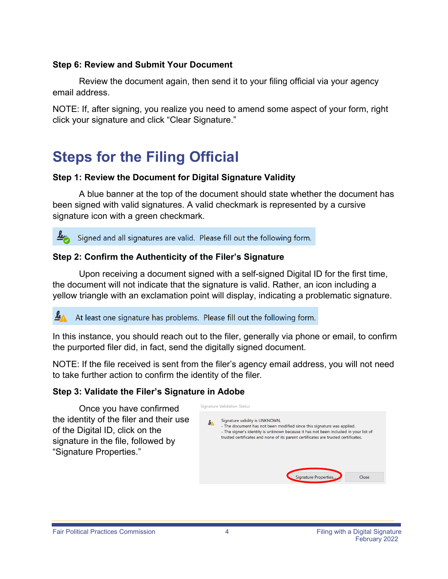#### **Step 6: Review and Submit Your Document**

Review the document again, then send it to your filing official via your agency email address.

NOTE: If, after signing, you realize you need to amend some aspect of your form, right click your signature and click "Clear Signature."

# **Steps for the Filing Official**

#### **Step 1: Review the Document for Digital Signature Validity**

A blue banner at the top of the document should state whether the document has been signed with valid signatures. A valid checkmark is represented by a cursive signature icon with a green checkmark.

 $\mathbf{z}_n$ Signed and all signatures are valid. Please fill out the following form.

### **Step 2: Confirm the Authenticity of the Filer's Signature**

Upon receiving a document signed with a self-signed Digital ID for the first time, the document will not indicate that the signature is valid. Rather, an icon including a yellow triangle with an exclamation point will display, indicating a problematic signature.

 $\mathbf{z}_\Lambda$ At least one signature has problems. Please fill out the following form.

In this instance, you should reach out to the filer, generally via phone or email, to confirm the purported filer did, in fact, send the digitally signed document.

NOTE: If the file received is sent from the filer's agency email address, you will not need to take further action to confirm the identity of the filer.

#### **Step 3: Validate the Filer's Signature in Adobe**

Once you have confirmed the identity of the filer and their use of the Digital ID, click on the signature in the file, followed by "Signature Properties."

| <b>Signature Validation Status</b>                                                                                                                                                                                                                                                    |
|---------------------------------------------------------------------------------------------------------------------------------------------------------------------------------------------------------------------------------------------------------------------------------------|
| Signature validity is UNKNOWN.<br>- The document has not been modified since this signature was applied.<br>- The signer's identity is unknown because it has not been included in your list of<br>trusted certificates and none of its parent certificates are trusted certificates. |
| Signature Properties<br>Close                                                                                                                                                                                                                                                         |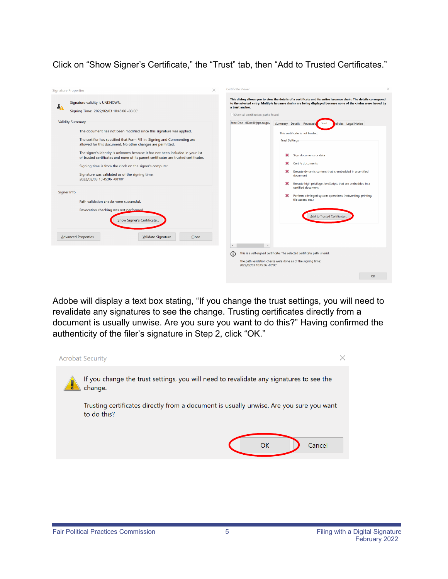Click on "Show Signer's Certificate," the "Trust" tab, then "Add to Trusted Certificates."



Adobe will display a text box stating, "If you change the trust settings, you will need to revalidate any signatures to see the change. Trusting certificates directly from a document is usually unwise. Are you sure you want to do this?" Having confirmed the authenticity of the filer's signature in Step 2, click "OK."

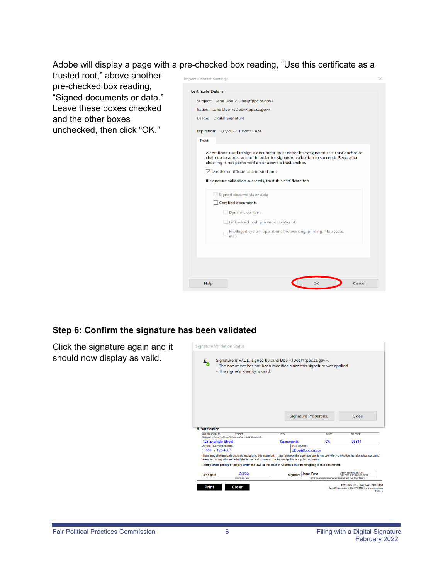Adobe will display a page with a pre-checked box reading, "Use this certificate as a

trusted root," above another pre-checked box reading, "Signed documents or data." Leave these boxes checked and the other boxes unchecked, then click "OK."

| <b>Certificate Details</b><br>Subject: Jane Doe <jdoe@fppc.ca.gov><br/>Issuer: Jane Doe <jdoe@fppc.ca.gov><br/>Usage:<br/><b>Digital Signature</b><br/>Expiration: 2/3/2027 10:28:31 AM<br/><b>Trust</b><br/>A certificate used to sign a document must either be designated as a trust anchor or<br/>chain up to a trust anchor in order for signature validation to succeed. Revocation<br/>checking is not performed on or above a trust anchor.<br/><math>\sqrt{\ }</math> Use this certificate as a trusted root<br/>If signature validation succeeds, trust this certificate for:<br/><math>\vee</math> Signed documents or data<br/>□ Certified documents<br/>Dynamic content<br/>Embedded high privilege JavaScript<br/>Privileged system operations (networking, printing, file access,<br/>etc.)</jdoe@fppc.ca.gov></jdoe@fppc.ca.gov> | <b>Import Contact Settings</b> | × |
|--------------------------------------------------------------------------------------------------------------------------------------------------------------------------------------------------------------------------------------------------------------------------------------------------------------------------------------------------------------------------------------------------------------------------------------------------------------------------------------------------------------------------------------------------------------------------------------------------------------------------------------------------------------------------------------------------------------------------------------------------------------------------------------------------------------------------------------------------|--------------------------------|---|
|                                                                                                                                                                                                                                                                                                                                                                                                                                                                                                                                                                                                                                                                                                                                                                                                                                                  |                                |   |
|                                                                                                                                                                                                                                                                                                                                                                                                                                                                                                                                                                                                                                                                                                                                                                                                                                                  |                                |   |
|                                                                                                                                                                                                                                                                                                                                                                                                                                                                                                                                                                                                                                                                                                                                                                                                                                                  |                                |   |
|                                                                                                                                                                                                                                                                                                                                                                                                                                                                                                                                                                                                                                                                                                                                                                                                                                                  |                                |   |
|                                                                                                                                                                                                                                                                                                                                                                                                                                                                                                                                                                                                                                                                                                                                                                                                                                                  |                                |   |
|                                                                                                                                                                                                                                                                                                                                                                                                                                                                                                                                                                                                                                                                                                                                                                                                                                                  |                                |   |
|                                                                                                                                                                                                                                                                                                                                                                                                                                                                                                                                                                                                                                                                                                                                                                                                                                                  |                                |   |
|                                                                                                                                                                                                                                                                                                                                                                                                                                                                                                                                                                                                                                                                                                                                                                                                                                                  |                                |   |
|                                                                                                                                                                                                                                                                                                                                                                                                                                                                                                                                                                                                                                                                                                                                                                                                                                                  |                                |   |
|                                                                                                                                                                                                                                                                                                                                                                                                                                                                                                                                                                                                                                                                                                                                                                                                                                                  |                                |   |
|                                                                                                                                                                                                                                                                                                                                                                                                                                                                                                                                                                                                                                                                                                                                                                                                                                                  |                                |   |
|                                                                                                                                                                                                                                                                                                                                                                                                                                                                                                                                                                                                                                                                                                                                                                                                                                                  |                                |   |
|                                                                                                                                                                                                                                                                                                                                                                                                                                                                                                                                                                                                                                                                                                                                                                                                                                                  |                                |   |
|                                                                                                                                                                                                                                                                                                                                                                                                                                                                                                                                                                                                                                                                                                                                                                                                                                                  |                                |   |
|                                                                                                                                                                                                                                                                                                                                                                                                                                                                                                                                                                                                                                                                                                                                                                                                                                                  |                                |   |
|                                                                                                                                                                                                                                                                                                                                                                                                                                                                                                                                                                                                                                                                                                                                                                                                                                                  |                                |   |
|                                                                                                                                                                                                                                                                                                                                                                                                                                                                                                                                                                                                                                                                                                                                                                                                                                                  |                                |   |
|                                                                                                                                                                                                                                                                                                                                                                                                                                                                                                                                                                                                                                                                                                                                                                                                                                                  |                                |   |
| OK<br>Cancel<br>Help                                                                                                                                                                                                                                                                                                                                                                                                                                                                                                                                                                                                                                                                                                                                                                                                                             |                                |   |

#### **Step 6: Confirm the signature has been validated**

Click the signature again and it should now display as valid.

| حط                       | Signature is VALID, signed by Jane Doe <jdoe@fppc.ca.gov>.<br/>- The document has not been modified since this signature was applied.<br/>- The signer's identity is valid.</jdoe@fppc.ca.gov>                                                                    |            |                      |                      |                                                                         |
|--------------------------|-------------------------------------------------------------------------------------------------------------------------------------------------------------------------------------------------------------------------------------------------------------------|------------|----------------------|----------------------|-------------------------------------------------------------------------|
| 5. Verification          |                                                                                                                                                                                                                                                                   |            |                      | Signature Properties | Close                                                                   |
| <b>MAILING ADDRESS</b>   | <b>STREET</b>                                                                                                                                                                                                                                                     | CITY       |                      | <b>STATE</b>         | ZIP CODE                                                                |
|                          | (Business or Agency Address Recommended - Public Document)                                                                                                                                                                                                        |            |                      |                      |                                                                         |
| 123 Example Street       |                                                                                                                                                                                                                                                                   | Sacramento |                      | CA                   | 95814                                                                   |
| DAYTIME TELEPHONE NUMBER |                                                                                                                                                                                                                                                                   |            | <b>FMAIL ADDRESS</b> |                      |                                                                         |
| 555 ) 123-4567           |                                                                                                                                                                                                                                                                   |            | JDoe@fppc.ca.gov     |                      |                                                                         |
|                          | I have used all reasonable diligence in preparing this statement. I have reviewed this statement and to the best of my knowledge the information contained<br>herein and in any attached schedules is true and complete. I acknowledge this is a public document. |            |                      |                      |                                                                         |
|                          | I certify under penalty of perjury under the laws of the State of California that the foregoing is true and correct.                                                                                                                                              |            |                      |                      |                                                                         |
| <b>Date Signed</b>       | 2/3/22                                                                                                                                                                                                                                                            |            | Signature Jane Doe   |                      | Digitally signed by Jane Doe<br>Date: 2022.02.03 10:45:06 -08:00*       |
|                          | (month, day, year)                                                                                                                                                                                                                                                |            |                      |                      | (File the originally signed paper statement with your filing official.) |